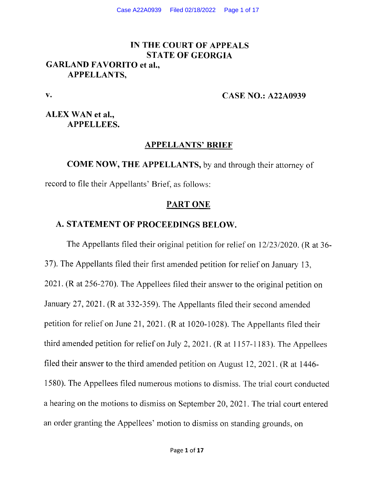# IN THE COURT OF APPEALS STATE OF GEORGIA GARLAND FAVORITO et al., APPELLANTS,

v.

#### CASE NO.: A22A0939

## ALEX WAN et al., APPELLEES.

#### APPELLANTS' BRIEF

COME NOW, THE APPELLANTS, by and through their attorney of

record to file their Appellants' Brief, as follows:

#### PART ONE

#### A. STATEMENT OF PROCEEDINGS BELOW.

The Appellants filed their original petition for relief on  $12/23/2020$ . (R at 36-37). The Appellants filed their first amended petition for relief on January 13, 2021. (R at 256-270). The Appellees filed their answer to the original petition on January 27, 2021. (R at 332-359). The Appellants filed their second amended petition for relief on June 21,2021. (R at 1020-1028). The Appellants filed their third amended petition for relief on July 2, 2021. (R at  $1157-1183$ ). The Appellees filed their answer to the third amended petition on August 12,2021. (R at 1446- 1580). The Appellees filed numerous motions to dismiss. The trial court conducted a hearing on the motions to dismiss on September 20, 2021. The trial court entered an order granting the Appellees' motion to dismiss on standing grounds, on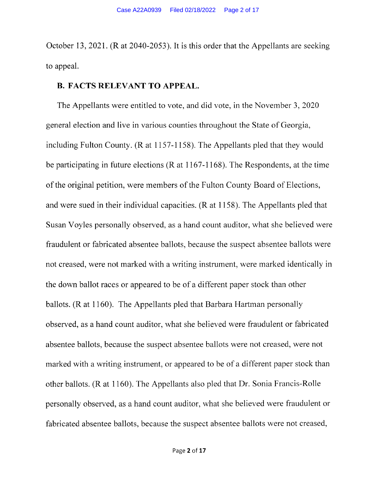October 13,2021. (R at 2040-2053). It is this order that the Appellants are seeking to appeal.

#### B. FACTS RELEVANT TO APPEAL.

The Appellants were entitled to vote, and did vote, in the November 3, 2020 general election and live in various counties throughout the State of Georgia, including Fulton County. (R at 1157-1158). The Appellants pled that they would be participating in future elections (R at 1167-1168). The Respondents, at the time of the original petition, were members of the Fulton County Board of Elections, and were sued in their individual capacities. (R at 1 158). The Appellants pled that Susan Voyles personally observed, as a hand count auditor, what she believed were fraudulent or fabricated absentee ballots, because the suspect absentee ballots were not creased, were not marked with a writing instrument, were marked identically in the down ballot races or appeared to be of a different paper stock than other ballots. (R at 1160). The Appellants pled that Barbara Hartman personally observed, as a hand count auditor, what she believed were fraudulent or fabricated absentee ballots, because the suspect absentee ballots were not creased, were not marked with a writing instrument, or appeared to be of a different paper stock than other ballots. (R at 1160). The Appellants also pled that Dr. Sonia Francis-Rolle personally observed, as a hand count auditor, what she believed were fraudulent or fabricated absentee ballots, because the suspect absentee ballots were not creased,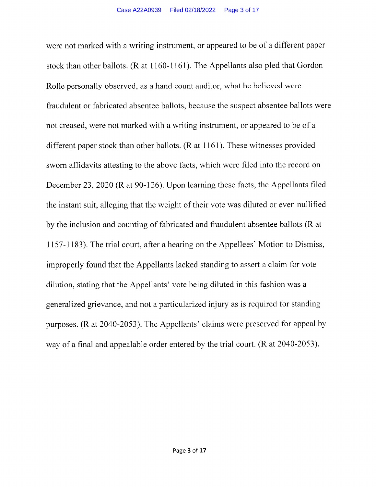were not marked with a writing instrument, or appeared to be of a different paper stock than other ballots.  $(R \text{ at } 1160-1161)$ . The Appellants also pled that Gordon Rolle personally observed, as a hand count auditor, what he believed were fraudulent or fabricated absentee ballots, because the suspect absentee ballots were not creased, were not marked with a writing instrument, or appeared to be of a different paper stock than other ballots. (R at 1161). These witnesses provided sworn affidavits attesting to the above facts, which were filed into the record on December 23, 2020 (R at 90-126). Upon learning these facts, the Appellants filed the instant suit, alleging that the weight of their vote was diluted or even nullified by the inclusion and counting of fabricated and fraudulent absentee ballots (R at ll57-l 183). The trial court, after a hearing on the Appellees' Motion to Dismiss, improperly found that the Appellants lacked standing to assert a claim for vote dilution, stating that the Appellants' vote being diluted in this fashion was a generalized grievance, and not a particularized injury as is required for standing purposes. (R at 2040-2053). The Appellants' claims were preserved for appeal by way of a final and appealable order entered by the trial court. (R at 2040-2053).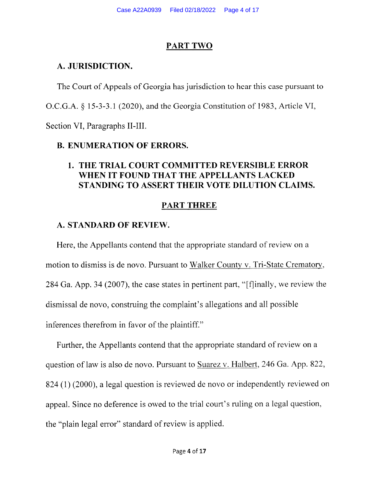#### PART TWO

### A. JURISDICTION.

The Court of Appeals of Georgia has jurisdiction to hear this case pursuant to

O.C.G.A. \$ 15-3-3.I (2020), and the Georgia Constitution of 1983, Article VI,

Section VI, Paragraphs II-III.

# B. ENUMERATION OF ERRORS.

# 1. THE TRIAL COURT COMMITTED REVERSIBLE ERROR WHEN IT FOUND THAT THE APPELLANTS LACKED STANDING TO ASSERT THEIR VOTE DILUTION CLAIMS.

# PART THREE

# A. STANDARD OF REVIEW.

Here, the Appellants contend that the appropriate standard of review on a motion to dismiss is de novo. Pursuant to Walker County v. Tri-State Crematory, 284 Ga. App. 34 (2007), the case states in pertinent part, "[f]inally, we review the dismissal de novo, construing the complaint's allegations and all possible inferences therefrom in favor of the plaintiff."

Further, the Appellants contend that the appropriate standard of review on a question of law is also de novo. Pursuant to Suarez v. Halbert,246 Ga. App. 822, <sup>824</sup>(l) (2000), a legal question is reviewed de novo or independently reviewed on appeal. Since no deference is owed to the trial court's ruling on a legal question, the "plain legal error" standard of review is applied.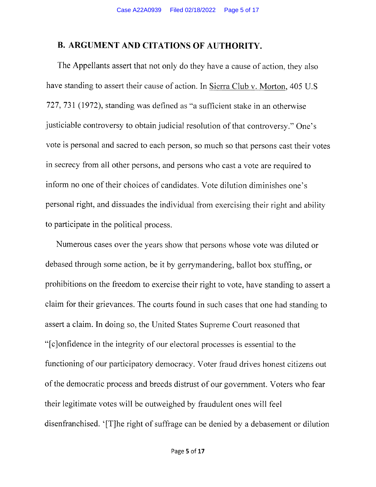#### B. ARGUMENT AND CITATIONS OF AUTHORITY.

The Appellants assert that not only do they have a cause of action, they also have standing to assert their cause of action. In Sierra Club v. Morton, 405 U.S 727 ,731 (1972), standing was defined as "a sufficient stake in an otherwise justiciable controversy to obtain judicial resolution of that controversy." One's vote is personal and sacred to each person, so much so that persons cast their votes in secrecy from all other persons, and persons who cast a vote are required to inform no one of their choices of candidates. Vote dilution diminishes one's personal right, and dissuades the individual from exercising their right and ability to participate in the political process.

Numerous cases over the years show that persons whose vote was diluted or debased through some action, be it by gerrymandering, ballot box stuffing, or prohibitions on the freedom to exercise their right to vote, have standing to assert <sup>a</sup> claim for their grievances. The courts found in such cases that one had standing to assert a claim. In doing so, the United States Supreme Court reasoned that "[c]onfidence in the integrity of our electoral processes is essential to the functioning of our participatory democracy. Voter fraud drives honest citizens out of the democratic process and breeds distrust of our government. Voters who fear their legitimate votes will be outweighed by fraudulent ones will feel disenfranchised. '[T]he right of suffrage can be denied by a debasement or dilution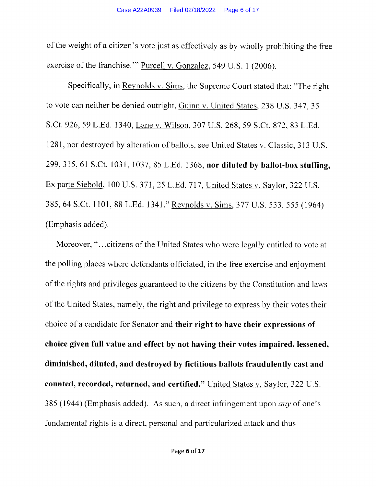of the weight of a citizen's vote just as effectively as by wholly prohibiting the free exercise of the franchise."" Purcell v. Gonzalez, 549 U.S. 1 (2006).

Specifically, in Reynolds v. Sims, the Supreme Court stated that: "The right to vote can neither be denied outright, Guinn v. United States, 238 U.S. 347, 35 S.Ct. 926, 59 L.Ed. 1340, Lane v. Wilson, 307 U.S. 268, 59 S.Ct. 872, 83 L.Ed. 1281, nor destroyed by alteration of ballots, see United States v. Classic, 313 U.S. 299, 315, 61 S.Ct. 1031, 1037, 85 L.Ed. 1368, nor diluted by ballot-box stuffing, Ex parte Siebold, 100 U.S. 371, 25 L.Ed. 717, United States v. Saylor, 322 U.S. 385,64 S.Ct. 1101, 88 L.Ed. t34l." Reynolds v. Sims,377 U.S. 533, 555 (1964) (Emphasis added).

Moreover, "...citizens of the United States who were legally entitled to vote at the polling places where defendants officiated, in the free exercise and enjoyment of the rights and privileges guaranteed to the citizens by the Constitution and laws of the United States, namely, the right and privilege to express by their votes their choice of a candidate for Senator and their right to have their expressions of choice given full value and effect by not having their votes impaired, lessened, diminished, diluted, and destroyed by fictitious ballots fraudulently cast and counted, recorded, returned, and certified." United States v. Saylor, 322 U.S. 385 (1944) (Emphasis added). As such, a direct infringement upon *any* of one's fundamental rights is a direct, personal and particularized attack and thus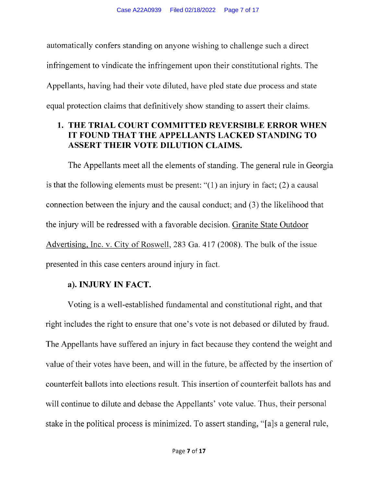automatically confers standing on anyone wishing to challenge such a direct infringement to vindicate the infringement upon their constitutional rights. The Appellants, having had their vote diluted, have pled state due process and state equal protection claims that definitively show standing to assert their claims.

# 1. THE TRIAL COURT COMMITTED REVERSIBLE ERROR WHEN FOUND THAT THE APPELLANTS LACKED STANDING TO ASSERT THEIR VOTE DILUTION CLAIMS.

The Appellants meet all the elements of standing. The general rule in Georgia is that the following elements must be present: "(1) an injury in fact; (2) a causal connection between the injury and the causal conduct; and (3) the likelihood that the injury will be redressed with a favorable decision. Granite State Outdoor Advertising, Inc. v. City of Roswell, 283 Ga. 417 (2008). The bulk of the issue presented in this case centers around injury in fact.

# a). INJURY IN FACT.

Voting is a well-established fundamental and constitutional right, and that right includes the right to ensure that one's vote is not debased or diluted by fraud. The Appellants have suffered an injury in fact because they contend the weight and value of their votes have been, and will in the future, be affected by the insertion of counterfeit ballots into elections result. This insertion of counterfeit ballots has and will continue to dilute and debase the Appellants' vote value. Thus, their personal stake in the political process is minimized. To assert standing, "[a]s a general rule,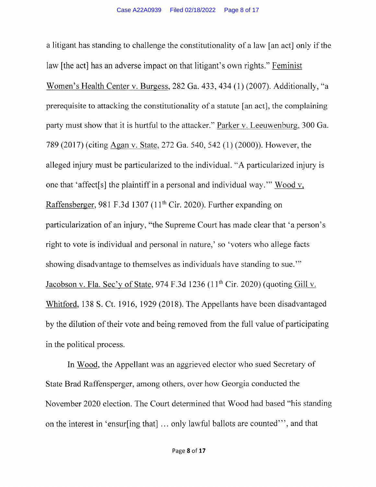<sup>a</sup>litigant has standing to challenge the constitutionality of a law [an act] only if the law [the act] has an adverse impact on that litigant's own rights." Feminist Women's Health Center v. Burgess, 282 Ga. 433, 434 (1) (2007). Additionally, "a prerequisite to attacking the constitutionality of a statute [an act], the complaining party must show that it is hurtful to the attacker." Parker v. Leeuwenburg, 300 Ga. 789 (2017) (citing Agan v. State,272 Ga, 540,542 (1) (2000)). However, the alleged injury must be particularized to the individual. "A particularized injury is one that 'affect[s] the plaintiff in a personal and individual way."' 'Wood v. Raffensberger, 981 F.3d 1307 (11<sup>th</sup> Cir. 2020). Further expanding on particularization of an injury, "the Supreme Court has made clear that'a person's right to vote is individual and personal in nature,' so 'voters who allege facts showing disadvantage to themselves as individuals have standing to sue."' Jacobson v. Fla. Sec'y of State, 974 F.3d 1236 (11<sup>th</sup> Cir. 2020) (quoting Gill v. Whitford, 138 S. Ct. 1916, 1929 (2018). The Appellants have been disadvantaged by the dilution of their vote and being removed from the full value of participating in the political process.

In Wood, the Appellant was an aggrieved elector who sued Secretary of State Brad Raffensperger, among others, over how Georgia conducted the November 2020 election. The Court determined that Wood had based "his standing on the interest in 'ensur[ing that] ... only lawful ballots are counted"' , and that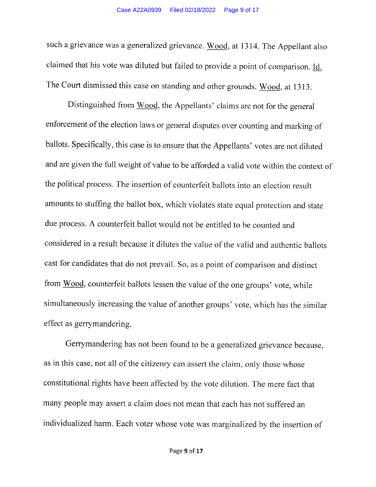such a grievance was a generalized grievance. Wood, at 1314. The Appellant also claimed that his vote was diluted but failed to provide a point of comparison. Id. The Court dismissed this case on standing and other grounds. Wood, at 1313.

Distinguished from Wood, the Appellants' claims are not for the general enforcement of the election laws or general disputes over counting and marking of ballots. Specifically, this case is to ensure that the Appellants' votes are not diluted and are given the full weight of value to be afforded a valid vote within the context of the political process. The insertion of counterfeit ballots into an election result amounts to stuffing the ballot box, which violates state equal protection and state due process. A counterfeit ballot would not be entitled to be counted and considered in a result because it dilutes the value of the valid and authentic ballots cast for candidates that do not prevail. So, as a point of comparison and distinct from Wood, counterfeit ballots lessen the value of the one groups' vote, while simultaneously increasing the value of another groups' vote, which has the similar effect as gerymandering.

Gerrymandering has not been found to be a generalized grievance because, as in this case, not all of the citizenry can assert the claim, only those whose constitutional rights have been affected by the vote dilution. The mere fact that many people may assert a claim does not mean that each has not suffered an individualized harm. Each voter whose vote was marginalized by the insertion of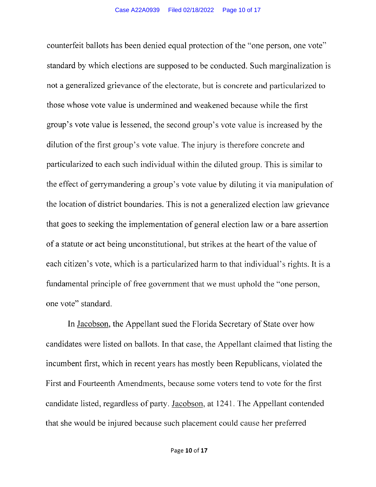counterfeit ballots has been denied equal protection of the "one person, one vote" standard by which elections are supposed to be conducted. Such marginalization is not a generalized grievance of the electorate, but is concrete and particularized to those whose vote value is undermined and weakened because while the first group's vote value is lessened, the second group's vote value is increased by the dilution of the first group's vote value. The injury is therefore concrete and particularized to each such individual within the diluted group. This is similar to the effect of gerymandering a group's vote value by diluting it via manipulation of the location of district boundaries. This is not a generalized election law grievance that goes to seeking the implementation of general election law or abare assertion of a statute or act being unconstitutional, but strikes at the heart of the value of each citizen's vote, which is a particularized harm to that individual's rights. It is a fundamental principle of free government that we must uphold the "one person, one vote" standard.

In Jacobson, the Appellant sued the Florida Secretary of State over how candidates were listed on ballots. In that case, the Appellant claimed that listing the incumbent first, which in recent years has mostly been Republicans, violated the First and Fourteenth Amendments, because some voters tend to vote for the first candidate listed, regardless of party. Jacobson, at 1241. The Appellant contended that she would be injured because such placement could cause her preferred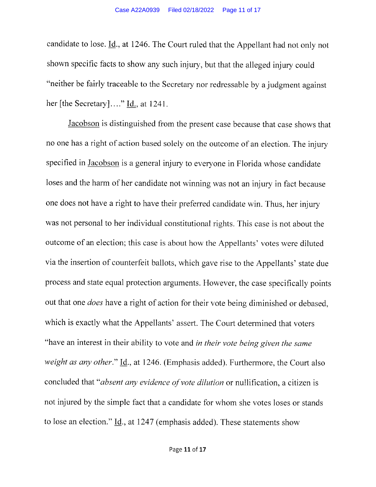candidate to lose.  $\underline{Id}$ , at 1246. The Court ruled that the Appellant had not only not shown specific facts to show any such injury, but that the alleged injury could "neither be fairly traceable to the Secretary nor redressable by a judgment against her [the Secretary]...." Id., at 1241.

Jacobson is distinguished from the present case because that case shows that no one has a right of action based solely on the outcome of an election. The injury specified in Jacobson is a general injury to everyone in Florida whose candidate loses and the harm of her candidate not winning was not an injury in fact because one does not have a right to have their preferred candidate win. Thus, her injury was not personal to her individual constitutional rights. This case is not about the outcome of an election; this case is about how the Appellants' votes were diluted via the insertion of counterfeit ballots, which gave rise to the Appellants' state due process and state equal protection arguments. However, the case specifically points out that one does have a right of action for their vote being diminished or debased, which is exactly what the Appellants' assert. The Court determined that voters "have an interest in their ability to vote and in their vote being given the same weight as any other."  $\underline{\text{Id}}$ ., at 1246. (Emphasis added). Furthermore, the Court also concluded that "absent any evidence of vote dilution or nullification, a citizen is not injured by the simple fact that a candidate for whom she votes loses or stands to lose an election."  $\underline{Id}$ ., at 1247 (emphasis added). These statements show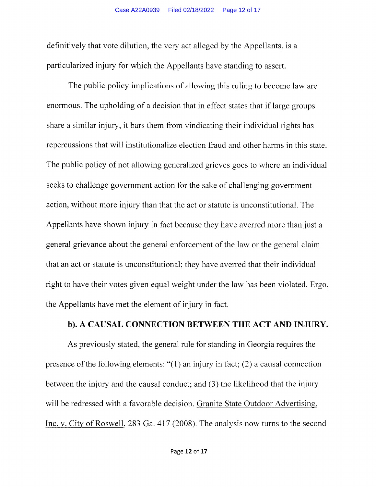definitively that vote dilution, the very act alleged by the Appellants, is a particularized injury for which the Appellants have standing to assert.

The public policy implications of allowing this ruling to become law are enorrnous. The upholding of a decision that in effect states that if large groups share a similar injury, it bars them from vindicating their individual rights has repercussions that will institutionalize election fraud and other harms in this state. The public policy of not allowing generalized grieves goes to where an individual seeks to challenge govemment action for the sake of challenging government action, without more injury than that the act or statute is unconstitutional. The Appellants have shown injury in fact because they have averred more than just <sup>a</sup> general grievance about the general enforcement of the law or the general claim that an act or statute is unconstitutional; they have averred that their individual right to have their votes given equal weight under the law has been violated. Ergo, the Appellants have met the element of injury in fact.

#### b). A CAUSAL CONNECTION BETWEEN THE ACT AND INJURY.

As previously stated, the general rule for standing in Georgia requires the presence of the following elements: "(1) an injury in fact; (2) a causal connection between the injury and the causal conduct; and (3) the likelihood that the injury will be redressed with a favorable decision. Granite State Outdoor Advertising, Inc. v. City of Roswell, 283 Ga. 417 (2008). The analysis now turns to the second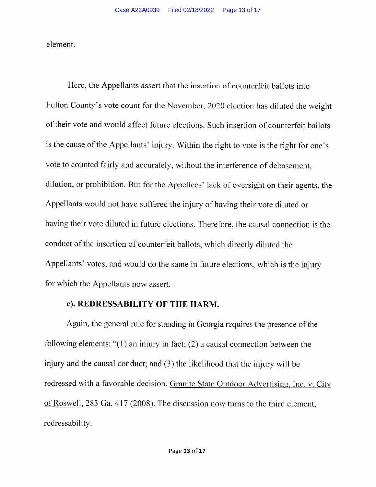element.

Here, the Appellants assert that the insertion of counterfeit ballots into Fulton County's vote count for the November, 2020 election has diluted the weight of their vote and would affect future elections. Such insertion of counterfeit ballots is the cause of the Appellants' injury. Within the right to vote is the right for one's vote to counted fairly and accurately, without the interference of debasement, dilution, or prohibition. But for the Appellees' lack of oversight on their agents, the Appellants would not have suffered the injury of having their vote diluted or having their vote diluted in future elections. Therefore, the causal connection is the conduct of the insertion of counterfeit ballots, which directly diluted the Appellants' votes, and would do the same in future elections, which is the injury for which the Appellants now assert.

### c). REDRESSABILITY OF THE HARM.

Again, the general rule for standing in Georgia requires the presence of the following elements: "(1) an injury in fact; (2) a causal connection between the injury and the causal conduct; and (3) the likelihood that the injury will be redressed with a favorable decision. Granite State Outdoor Advertising, Inc. v. City of Roswell,283 Ga.417 (2008). The discussion now turns to the third element, redressability.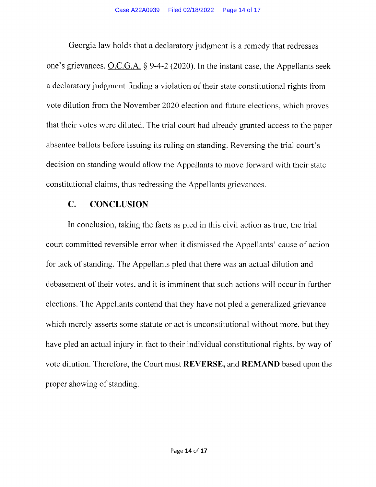Georgia law holds that a declaratory judgment is a remedy that redresses one's grievances. O.C.G.A.  $\S$  9-4-2 (2020). In the instant case, the Appellants seek a declaratory judgment finding a violation of their state constitutional rights from vote dilution from the November 2020 election and future elections, which proves that their votes were diluted. The trial court had already granted access to the paper absentee ballots before issuing its ruling on standing. Reversing the trial court's decision on standing would allow the Appellants to move forward with their state constitutional claims, thus redressing the Appellants grievances.

# C. CONCLUSION

In conclusion, taking the facts as pled in this civil action as true, the trial court committed reversible emor when it dismissed the Appellants' cause of action for lack of standing. The Appellants pled that there was an actual dilution and debasement of their votes, and it is imminent that such actions will occur in further elections. The Appellants contend that they have not pled a generalized grievance which merely asserts some statute or act is unconstitutional without more, but they have pled an actual injury in fact to their individual constitutional rights, by way of vote dilution. Therefore, the Court must REVERSE, and REMAND based upon the proper showing of standing.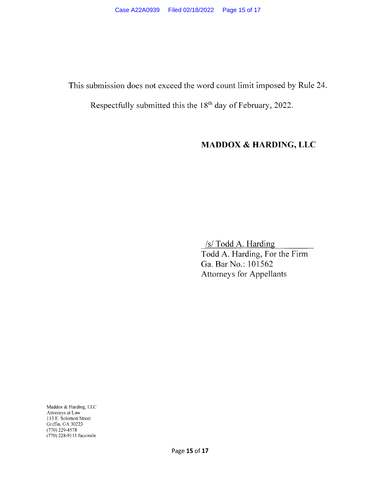This submission does not exceed the word count limit imposed by Rule 24.

Respectfully submitted this the 18th day of February, 2022.

# MADDOX & HARDING, LLC

 $/s/$  Todd A. Harding Todd A. Harding, For the Firm Ga. Bar No.: 101562 Attorneys for Appellants

Maddox & Harding, LLC Attomeys at Law I l3 E. Solomon Street Griffin, GA 30223 (770) 229-4s78 (770) 228-911 I facsimile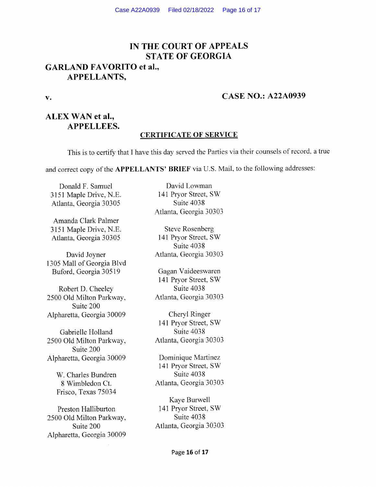# IN THE COURT OF APPEALS STATE OF GEORGIA GARLAND FAVORITO et al.,

#### APPELLANTS,

#### v. **CASE NO.: A22A0939**

# ALEX WAN et al., APPELLEES.

#### CERTIFICATE OF SERVICE

This is to certify that I have this day served the Parties via their counsels of record, a true

and correct copy of the APPELLANTS' BRIEF via U.S. Mail, to the following addresses:

3151 Maple Drive, N.E. 141 Pryor Street<br>Atlanta. Georgia 30305 Suite 4038 Atlanta, Georgia 30305

Amanda Clark Palmer 3151 Maple Drive, N.E.<br>
Atlanta. Georgia 30305 141 Pryor Street, SW Atlanta, Georgia 30305

1305 Mall of Georgia Blvd Buford, Georgia 30519 Gagan Vaideeswaren

2500 Old Milton Parkway, Suite 200 Alpharetta, Georgia 30009 Cheryl Ringer

2500 Old Milton Parkway, Suite 200 Alpharetta, Georgia 30009 Dominique Martinez

W. Charles Bundren Suite 4038 Frisco, Texas 75034

2500 Old Milton Parkway, Alpharetta, Georgia 30009

Donald F. Samuel David Lowman<br>
51 Maple Drive, N.E. 141 Pryor Street, SW Atlanta, Georgia 30303

Suite 4038 David Joyner Atlanta, Georgia <sup>30303</sup>

141 Pryor Street, SW Robert D. Cheeley<br>
0 Old Milton Parkway, Atlanta, Georgia 30303

l4l Pryor Street, SW Gabrielle Holland Suite 4038<br>
0 Old Milton Parkway, Atlanta, Georgia 30303

141 Pryor Street, SW <sup>8</sup>Wimbledon Ct. Atlanta, Georgia <sup>30303</sup>

Kaye Burwell Preston Halliburton 141 Pryor Street, SW<br>
00 Old Milton Parkway. Suite 4038 Suite 200 Atlanta, Georgia <sup>30303</sup>